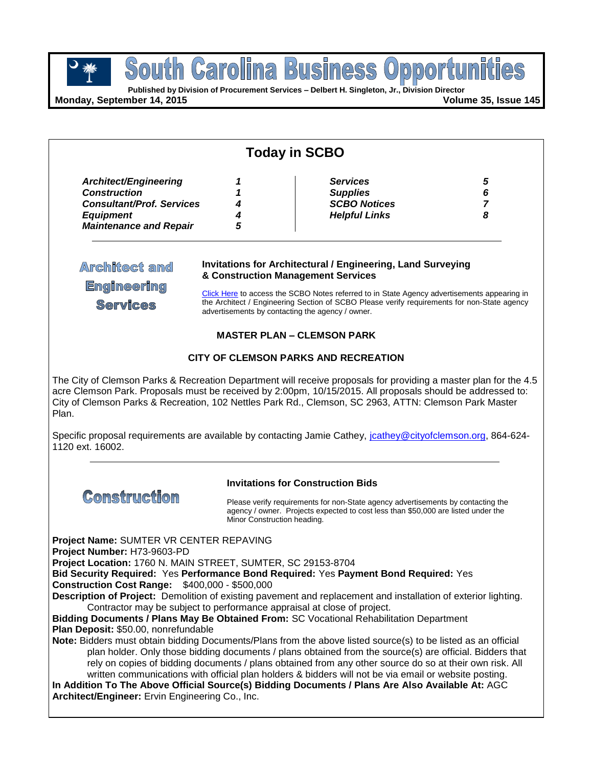**Published by Division of Procurement Services – Delbert H. Singleton, Jr., Division Director**

**Monday, September 14, 2015 Volume 35, Issue 145**

| <b>Today in SCBO</b>                                                                                                                                                                                                                                                                       |                                                                                                                                                                                                                                                                                                                                                            |                                                                                                                                                                                                                                                                                                                                                                                                                                                                                                                                                                                                                                                                                                                                                                                                                                                                                                                                   |                  |  |  |
|--------------------------------------------------------------------------------------------------------------------------------------------------------------------------------------------------------------------------------------------------------------------------------------------|------------------------------------------------------------------------------------------------------------------------------------------------------------------------------------------------------------------------------------------------------------------------------------------------------------------------------------------------------------|-----------------------------------------------------------------------------------------------------------------------------------------------------------------------------------------------------------------------------------------------------------------------------------------------------------------------------------------------------------------------------------------------------------------------------------------------------------------------------------------------------------------------------------------------------------------------------------------------------------------------------------------------------------------------------------------------------------------------------------------------------------------------------------------------------------------------------------------------------------------------------------------------------------------------------------|------------------|--|--|
| Architect/Engineering<br><b>Construction</b><br><b>Consultant/Prof. Services</b><br><b>Equipment</b><br><b>Maintenance and Repair</b>                                                                                                                                                      | 1<br>1<br>4<br>5                                                                                                                                                                                                                                                                                                                                           | <b>Services</b><br><b>Supplies</b><br><b>SCBO Notices</b><br><b>Helpful Links</b>                                                                                                                                                                                                                                                                                                                                                                                                                                                                                                                                                                                                                                                                                                                                                                                                                                                 | 5<br>6<br>7<br>8 |  |  |
| Architect and<br><b>Engineering</b><br><b>Services</b>                                                                                                                                                                                                                                     | <b>Invitations for Architectural / Engineering, Land Surveying</b><br>& Construction Management Services<br>Click Here to access the SCBO Notes referred to in State Agency advertisements appearing in<br>the Architect / Engineering Section of SCBO Please verify requirements for non-State agency<br>advertisements by contacting the agency / owner. |                                                                                                                                                                                                                                                                                                                                                                                                                                                                                                                                                                                                                                                                                                                                                                                                                                                                                                                                   |                  |  |  |
| <b>MASTER PLAN - CLEMSON PARK</b>                                                                                                                                                                                                                                                          |                                                                                                                                                                                                                                                                                                                                                            |                                                                                                                                                                                                                                                                                                                                                                                                                                                                                                                                                                                                                                                                                                                                                                                                                                                                                                                                   |                  |  |  |
| <b>CITY OF CLEMSON PARKS AND RECREATION</b><br>The City of Clemson Parks & Recreation Department will receive proposals for providing a master plan for the 4.5                                                                                                                            |                                                                                                                                                                                                                                                                                                                                                            |                                                                                                                                                                                                                                                                                                                                                                                                                                                                                                                                                                                                                                                                                                                                                                                                                                                                                                                                   |                  |  |  |
| Plan.<br>1120 ext. 16002.                                                                                                                                                                                                                                                                  |                                                                                                                                                                                                                                                                                                                                                            | acre Clemson Park. Proposals must be received by 2:00pm, 10/15/2015. All proposals should be addressed to:<br>City of Clemson Parks & Recreation, 102 Nettles Park Rd., Clemson, SC 2963, ATTN: Clemson Park Master<br>Specific proposal requirements are available by contacting Jamie Cathey, joathey@cityofclemson.org, 864-624-                                                                                                                                                                                                                                                                                                                                                                                                                                                                                                                                                                                               |                  |  |  |
| <b>Invitations for Construction Bids</b><br><b>Construction</b>                                                                                                                                                                                                                            |                                                                                                                                                                                                                                                                                                                                                            |                                                                                                                                                                                                                                                                                                                                                                                                                                                                                                                                                                                                                                                                                                                                                                                                                                                                                                                                   |                  |  |  |
|                                                                                                                                                                                                                                                                                            |                                                                                                                                                                                                                                                                                                                                                            | Please verify requirements for non-State agency advertisements by contacting the<br>agency / owner. Projects expected to cost less than \$50,000 are listed under the<br>Minor Construction heading.                                                                                                                                                                                                                                                                                                                                                                                                                                                                                                                                                                                                                                                                                                                              |                  |  |  |
| Project Name: SUMTER VR CENTER REPAVING<br>Project Number: H73-9603-PD<br>Project Location: 1760 N. MAIN STREET, SUMTER, SC 29153-8704<br><b>Construction Cost Range: \$400,000 - \$500,000</b><br>Plan Deposit: \$50.00, nonrefundable<br>Architect/Engineer: Ervin Engineering Co., Inc. |                                                                                                                                                                                                                                                                                                                                                            | Bid Security Required: Yes Performance Bond Required: Yes Payment Bond Required: Yes<br>Description of Project: Demolition of existing pavement and replacement and installation of exterior lighting.<br>Contractor may be subject to performance appraisal at close of project.<br>Bidding Documents / Plans May Be Obtained From: SC Vocational Rehabilitation Department<br>Note: Bidders must obtain bidding Documents/Plans from the above listed source(s) to be listed as an official<br>plan holder. Only those bidding documents / plans obtained from the source(s) are official. Bidders that<br>rely on copies of bidding documents / plans obtained from any other source do so at their own risk. All<br>written communications with official plan holders & bidders will not be via email or website posting.<br>In Addition To The Above Official Source(s) Bidding Documents / Plans Are Also Available At: AGC |                  |  |  |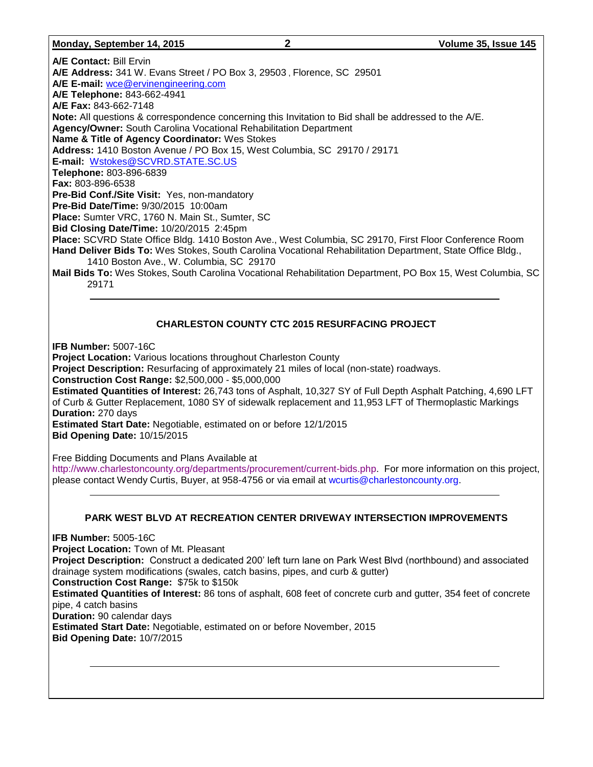#### **Monday, September 14, 2015 2 Volume 35, Issue 145**

**A/E Contact:** Bill Ervin **A/E Address:** 341 W. Evans Street / PO Box 3, 29503 , Florence, SC 29501 **A/E E-mail:** [wce@ervinengineering.com](mailto:wce@ervinengineering.com) **A/E Telephone:** 843-662-4941 **A/E Fax:** 843-662-7148 **Note:** All questions & correspondence concerning this Invitation to Bid shall be addressed to the A/E. **Agency/Owner:** South Carolina Vocational Rehabilitation Department **Name & Title of Agency Coordinator:** Wes Stokes **Address:** 1410 Boston Avenue / PO Box 15, West Columbia, SC 29170 / 29171 **E-mail:** [Wstokes@SCVRD.STATE.SC.US](mailto:Wstokes@SCVRD.STATE.SC.US) **Telephone:** 803-896-6839 **Fax:** 803-896-6538 **Pre-Bid Conf./Site Visit:** Yes, non-mandatory **Pre-Bid Date/Time:** 9/30/2015 10:00am **Place:** Sumter VRC, 1760 N. Main St., Sumter, SC **Bid Closing Date/Time:** 10/20/2015 2:45pm **Place:** SCVRD State Office Bldg. 1410 Boston Ave., West Columbia, SC 29170, First Floor Conference Room **Hand Deliver Bids To:** Wes Stokes, South Carolina Vocational Rehabilitation Department, State Office Bldg., 1410 Boston Ave., W. Columbia, SC 29170 **Mail Bids To:** Wes Stokes, South Carolina Vocational Rehabilitation Department, PO Box 15, West Columbia, SC 29171

### **CHARLESTON COUNTY CTC 2015 RESURFACING PROJECT**

**IFB Number:** 5007-16C

**Project Location:** Various locations throughout Charleston County **Project Description:** Resurfacing of approximately 21 miles of local (non-state) roadways. **Construction Cost Range:** \$2,500,000 - \$5,000,000 **Estimated Quantities of Interest:** 26,743 tons of Asphalt, 10,327 SY of Full Depth Asphalt Patching, 4,690 LFT of Curb & Gutter Replacement, 1080 SY of sidewalk replacement and 11,953 LFT of Thermoplastic Markings **Duration:** 270 days **Estimated Start Date:** Negotiable, estimated on or before 12/1/2015 **Bid Opening Date:** 10/15/2015

Free Bidding Documents and Plans Available at

[http://www.charlestoncounty.org/departments/procurement/current-bids.php.](http://www.charlestoncounty.org/departments/procurement/current-bids.php) For more information on this project, please contact Wendy Curtis, Buyer, at 958-4756 or via email at [wcurtis@charlestoncounty.org.](mailto:wcurtis@charlestoncounty.org)

### **PARK WEST BLVD AT RECREATION CENTER DRIVEWAY INTERSECTION IMPROVEMENTS**

**IFB Number:** 5005-16C **Project Location:** Town of Mt. Pleasant **Project Description:** Construct a dedicated 200' left turn lane on Park West Blvd (northbound) and associated drainage system modifications (swales, catch basins, pipes, and curb & gutter) **Construction Cost Range:** \$75k to \$150k **Estimated Quantities of Interest:** 86 tons of asphalt, 608 feet of concrete curb and gutter, 354 feet of concrete pipe, 4 catch basins **Duration:** 90 calendar days **Estimated Start Date:** Negotiable, estimated on or before November, 2015 **Bid Opening Date:** 10/7/2015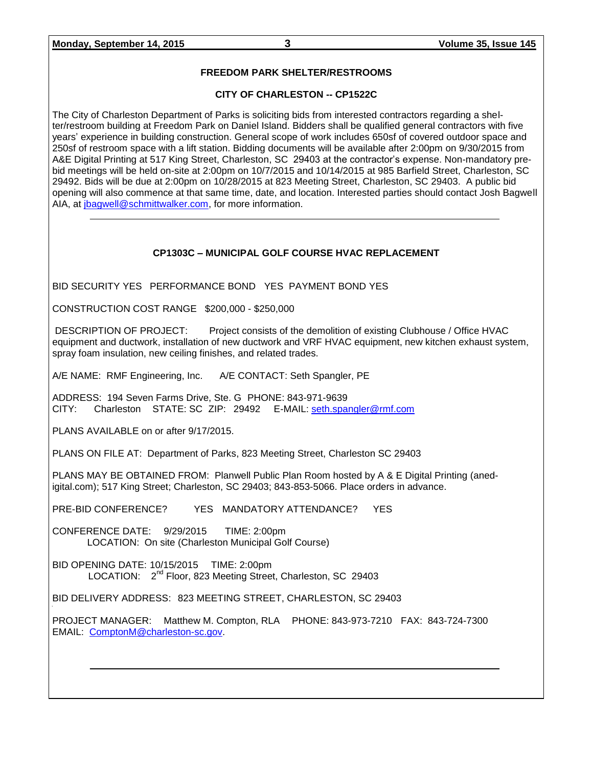### **FREEDOM PARK SHELTER/RESTROOMS**

### **CITY OF CHARLESTON -- CP1522C**

The City of Charleston Department of Parks is soliciting bids from interested contractors regarding a shelter/restroom building at Freedom Park on Daniel Island. Bidders shall be qualified general contractors with five years' experience in building construction. General scope of work includes 650sf of covered outdoor space and 250sf of restroom space with a lift station. Bidding documents will be available after 2:00pm on 9/30/2015 from A&E Digital Printing at 517 King Street, Charleston, SC 29403 at the contractor's expense. Non-mandatory prebid meetings will be held on-site at 2:00pm on 10/7/2015 and 10/14/2015 at 985 Barfield Street, Charleston, SC 29492. Bids will be due at 2:00pm on 10/28/2015 at 823 Meeting Street, Charleston, SC 29403. A public bid opening will also commence at that same time, date, and location. Interested parties should contact Josh Bagwell AIA, at *jbagwell@schmittwalker.com*, for more information.

### **CP1303C – MUNICIPAL GOLF COURSE HVAC REPLACEMENT**

BID SECURITY YES PERFORMANCE BOND YES PAYMENT BOND YES

CONSTRUCTION COST RANGE \$200,000 - \$250,000

DESCRIPTION OF PROJECT: Project consists of the demolition of existing Clubhouse / Office HVAC equipment and ductwork, installation of new ductwork and VRF HVAC equipment, new kitchen exhaust system, spray foam insulation, new ceiling finishes, and related trades.

A/E NAME: RMF Engineering, Inc. A/E CONTACT: Seth Spangler, PE

ADDRESS: 194 Seven Farms Drive, Ste. G PHONE: 843-971-9639 CITY: Charleston STATE: SC ZIP: 29492 E-MAIL: [seth.spangler@rmf.com](mailto:seth.spangler@rmf.com)

PLANS AVAILABLE on or after 9/17/2015.

PLANS ON FILE AT: Department of Parks, 823 Meeting Street, Charleston SC 29403

PLANS MAY BE OBTAINED FROM: Planwell Public Plan Room hosted by A & E Digital Printing (anedigital.com); 517 King Street; Charleston, SC 29403; 843-853-5066. Place orders in advance.

PRE-BID CONFERENCE? YES MANDATORY ATTENDANCE? YES

CONFERENCE DATE: 9/29/2015 TIME: 2:00pm LOCATION: On site (Charleston Municipal Golf Course)

BID OPENING DATE: 10/15/2015 TIME: 2:00pm LOCATION: 2<sup>nd</sup> Floor, 823 Meeting Street, Charleston, SC 29403

BID DELIVERY ADDRESS: 823 MEETING STREET, CHARLESTON, SC 29403

PROJECT MANAGER: Matthew M. Compton, RLA PHONE: 843-973-7210 FAX: 843-724-7300 EMAIL: [ComptonM@charleston-sc.gov.](mailto:ComptonM@charleston-sc.gov)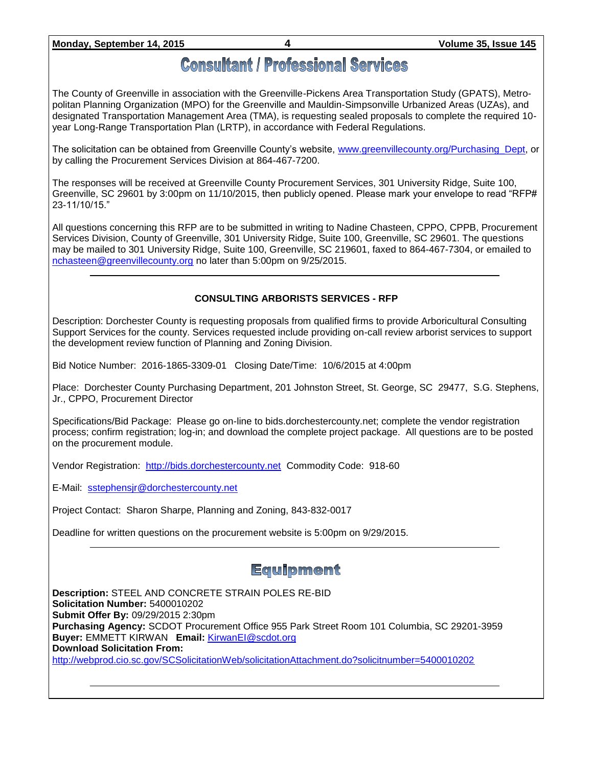### **Monday, September 14, 2015 4 Volume 35, Issue 145**

# **Consultant / Professional Services**

The County of Greenville in association with the Greenville-Pickens Area Transportation Study (GPATS), Metropolitan Planning Organization (MPO) for the Greenville and Mauldin-Simpsonville Urbanized Areas (UZAs), and designated Transportation Management Area (TMA), is requesting sealed proposals to complete the required 10 year Long-Range Transportation Plan (LRTP), in accordance with Federal Regulations.

The solicitation can be obtained from Greenville County's website, [www.greenvillecounty.org/Purchasing\\_Dept,](http://www.greenvillecounty.org/Purchasing_Dept) or by calling the Procurement Services Division at 864-467-7200.

The responses will be received at Greenville County Procurement Services, 301 University Ridge, Suite 100, Greenville, SC 29601 by 3:00pm on 11/10/2015, then publicly opened. Please mark your envelope to read "RFP# 23-11/10/15."

All questions concerning this RFP are to be submitted in writing to Nadine Chasteen, CPPO, CPPB, Procurement Services Division, County of Greenville, 301 University Ridge, Suite 100, Greenville, SC 29601. The questions may be mailed to 301 University Ridge, Suite 100, Greenville, SC 219601, faxed to 864-467-7304, or emailed to [nchasteen@greenvillecounty.org](mailto:nchasteen@greenvillecounty.org) no later than 5:00pm on 9/25/2015.

### **CONSULTING ARBORISTS SERVICES - RFP**

Description: Dorchester County is requesting proposals from qualified firms to provide Arboricultural Consulting Support Services for the county. Services requested include providing on-call review arborist services to support the development review function of Planning and Zoning Division.

Bid Notice Number: 2016-1865-3309-01 Closing Date/Time: 10/6/2015 at 4:00pm

Place: Dorchester County Purchasing Department, 201 Johnston Street, St. George, SC 29477, S.G. Stephens, Jr., CPPO, Procurement Director

Specifications/Bid Package: Please go on-line to bids.dorchestercounty.net; complete the vendor registration process; confirm registration; log-in; and download the complete project package. All questions are to be posted on the procurement module.

Vendor Registration: [http://bids.dorchestercounty.net](http://bids.dorchestercounty.net/) Commodity Code: 918-60

E-Mail: [sstephensjr@dorchestercounty.net](mailto:sstephensjr@dorchestercounty.net)

Project Contact: Sharon Sharpe, Planning and Zoning, 843-832-0017

Deadline for written questions on the procurement website is 5:00pm on 9/29/2015.

# Equipment

**Description:** STEEL AND CONCRETE STRAIN POLES RE-BID **Solicitation Number:** 5400010202 **Submit Offer By:** 09/29/2015 2:30pm **Purchasing Agency:** SCDOT Procurement Office 955 Park Street Room 101 Columbia, SC 29201-3959 **Buyer:** EMMETT KIRWAN **Email:** [KirwanEI@scdot.org](mailto:KirwanEI@scdot.org) **Download Solicitation From:**  <http://webprod.cio.sc.gov/SCSolicitationWeb/solicitationAttachment.do?solicitnumber=5400010202>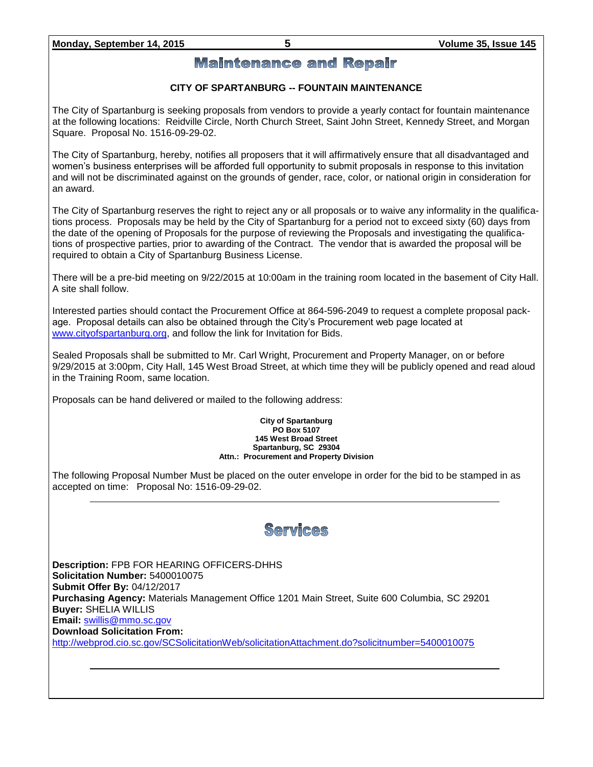### **Monday, September 14, 2015 5 Volume 35, Issue 145**

### **Maintenance and Repair**

### **CITY OF SPARTANBURG -- FOUNTAIN MAINTENANCE**

The City of Spartanburg is seeking proposals from vendors to provide a yearly contact for fountain maintenance at the following locations: Reidville Circle, North Church Street, Saint John Street, Kennedy Street, and Morgan Square. Proposal No. 1516-09-29-02.

The City of Spartanburg, hereby, notifies all proposers that it will affirmatively ensure that all disadvantaged and women's business enterprises will be afforded full opportunity to submit proposals in response to this invitation and will not be discriminated against on the grounds of gender, race, color, or national origin in consideration for an award.

The City of Spartanburg reserves the right to reject any or all proposals or to waive any informality in the qualifications process. Proposals may be held by the City of Spartanburg for a period not to exceed sixty (60) days from the date of the opening of Proposals for the purpose of reviewing the Proposals and investigating the qualifications of prospective parties, prior to awarding of the Contract. The vendor that is awarded the proposal will be required to obtain a City of Spartanburg Business License.

There will be a pre-bid meeting on 9/22/2015 at 10:00am in the training room located in the basement of City Hall. A site shall follow.

Interested parties should contact the Procurement Office at 864-596-2049 to request a complete proposal package. Proposal details can also be obtained through the City's Procurement web page located at [www.cityofspartanburg.org,](http://www.cityofspartanburg.org/) and follow the link for Invitation for Bids.

Sealed Proposals shall be submitted to Mr. Carl Wright, Procurement and Property Manager, on or before 9/29/2015 at 3:00pm, City Hall, 145 West Broad Street, at which time they will be publicly opened and read aloud in the Training Room, same location.

Proposals can be hand delivered or mailed to the following address:

#### **City of Spartanburg PO Box 5107 145 West Broad Street Spartanburg, SC 29304 Attn.: Procurement and Property Division**

The following Proposal Number Must be placed on the outer envelope in order for the bid to be stamped in as accepted on time: Proposal No: 1516-09-29-02.

# Services

**Description:** FPB FOR HEARING OFFICERS-DHHS **Solicitation Number:** 5400010075 **Submit Offer By:** 04/12/2017 **Purchasing Agency:** Materials Management Office 1201 Main Street, Suite 600 Columbia, SC 29201 **Buyer:** SHELIA WILLIS **Email:** [swillis@mmo.sc.gov](mailto:swillis@mmo.sc.gov) **Download Solicitation From:**  <http://webprod.cio.sc.gov/SCSolicitationWeb/solicitationAttachment.do?solicitnumber=5400010075>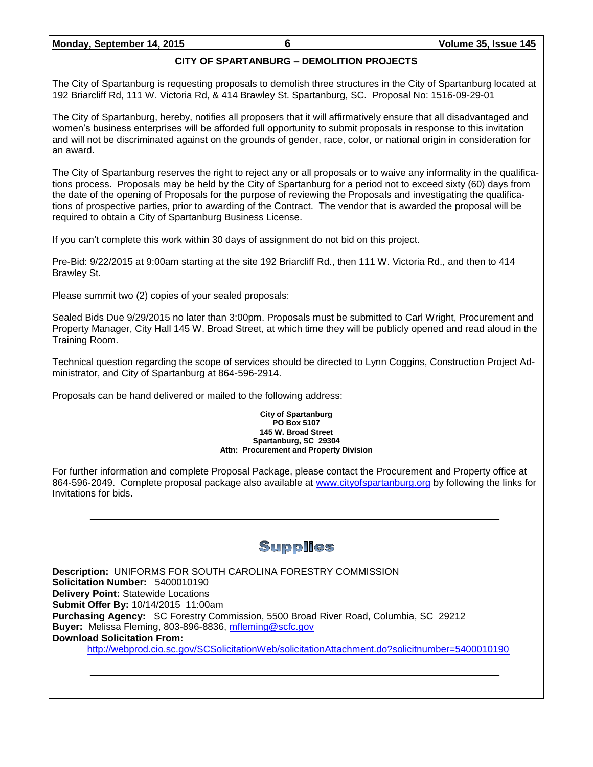### **Monday, September 14, 2015 6 Volume 35, Issue 145**

### **CITY OF SPARTANBURG – DEMOLITION PROJECTS**

The City of Spartanburg is requesting proposals to demolish three structures in the City of Spartanburg located at 192 Briarcliff Rd, 111 W. Victoria Rd, & 414 Brawley St. Spartanburg, SC. Proposal No: 1516-09-29-01

The City of Spartanburg, hereby, notifies all proposers that it will affirmatively ensure that all disadvantaged and women's business enterprises will be afforded full opportunity to submit proposals in response to this invitation and will not be discriminated against on the grounds of gender, race, color, or national origin in consideration for an award.

The City of Spartanburg reserves the right to reject any or all proposals or to waive any informality in the qualifications process. Proposals may be held by the City of Spartanburg for a period not to exceed sixty (60) days from the date of the opening of Proposals for the purpose of reviewing the Proposals and investigating the qualifications of prospective parties, prior to awarding of the Contract. The vendor that is awarded the proposal will be required to obtain a City of Spartanburg Business License.

If you can't complete this work within 30 days of assignment do not bid on this project.

Pre-Bid: 9/22/2015 at 9:00am starting at the site 192 Briarcliff Rd., then 111 W. Victoria Rd., and then to 414 Brawley St.

Please summit two (2) copies of your sealed proposals:

Sealed Bids Due 9/29/2015 no later than 3:00pm. Proposals must be submitted to Carl Wright, Procurement and Property Manager, City Hall 145 W. Broad Street, at which time they will be publicly opened and read aloud in the Training Room.

Technical question regarding the scope of services should be directed to Lynn Coggins, Construction Project Administrator, and City of Spartanburg at 864-596-2914.

Proposals can be hand delivered or mailed to the following address:

#### **City of Spartanburg PO Box 5107 145 W. Broad Street Spartanburg, SC 29304 Attn: Procurement and Property Division**

For further information and complete Proposal Package, please contact the Procurement and Property office at 864-596-2049. Complete proposal package also available at [www.cityofspartanburg.org](http://www.cityofspartanburg.org/) by following the links for Invitations for bids.

# **Supplies**

**Description:** UNIFORMS FOR SOUTH CAROLINA FORESTRY COMMISSION **Solicitation Number:** 5400010190 **Delivery Point:** Statewide Locations **Submit Offer By:** 10/14/2015 11:00am **Purchasing Agency:** SC Forestry Commission, 5500 Broad River Road, Columbia, SC 29212 **Buyer:** Melissa Fleming, 803-896-8836, [mfleming@scfc.gov](mailto:mfleming@scfc.gov) **Download Solicitation From:** <http://webprod.cio.sc.gov/SCSolicitationWeb/solicitationAttachment.do?solicitnumber=5400010190>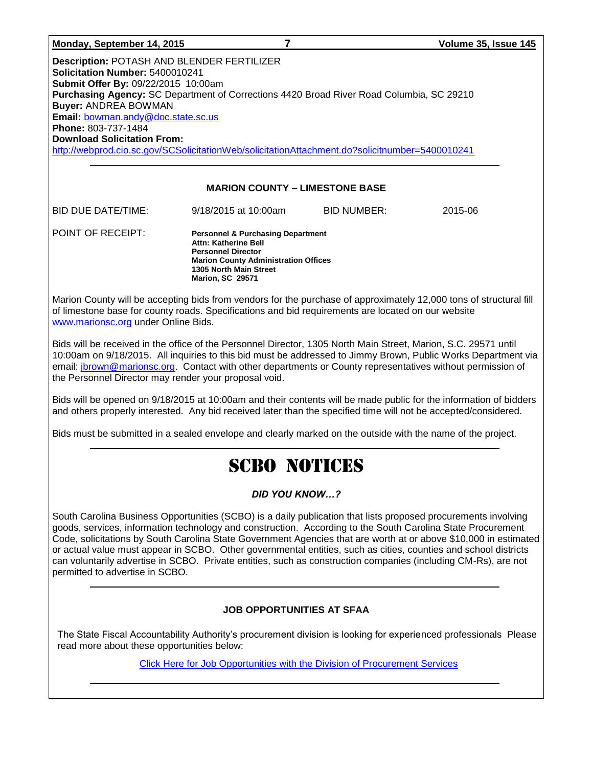| Monday, September 14, 2015                                                                                                                                                                                                                                                                                                                                                                                                                                                | 7                                                                                                                                                                                                     |                    | Volume 35, Issue 145 |  |  |
|---------------------------------------------------------------------------------------------------------------------------------------------------------------------------------------------------------------------------------------------------------------------------------------------------------------------------------------------------------------------------------------------------------------------------------------------------------------------------|-------------------------------------------------------------------------------------------------------------------------------------------------------------------------------------------------------|--------------------|----------------------|--|--|
| <b>Description: POTASH AND BLENDER FERTILIZER</b><br>Solicitation Number: 5400010241<br>Submit Offer By: 09/22/2015 10:00am<br>Purchasing Agency: SC Department of Corrections 4420 Broad River Road Columbia, SC 29210<br><b>Buyer: ANDREA BOWMAN</b><br><b>Email: bowman.andy@doc.state.sc.us</b><br><b>Phone: 803-737-1484</b><br><b>Download Solicitation From:</b><br>http://webprod.cio.sc.gov/SCSolicitationWeb/solicitationAttachment.do?solicitnumber=5400010241 |                                                                                                                                                                                                       |                    |                      |  |  |
| <b>MARION COUNTY - LIMESTONE BASE</b>                                                                                                                                                                                                                                                                                                                                                                                                                                     |                                                                                                                                                                                                       |                    |                      |  |  |
| <b>BID DUE DATE/TIME:</b>                                                                                                                                                                                                                                                                                                                                                                                                                                                 | 9/18/2015 at 10:00am                                                                                                                                                                                  | <b>BID NUMBER:</b> | 2015-06              |  |  |
| POINT OF RECEIPT:                                                                                                                                                                                                                                                                                                                                                                                                                                                         | <b>Personnel &amp; Purchasing Department</b><br>Attn: Katherine Bell<br><b>Personnel Director</b><br><b>Marion County Administration Offices</b><br>1305 North Main Street<br><b>Marion, SC 29571</b> |                    |                      |  |  |
| Marion County will be accepting bids from vendors for the purchase of approximately 12,000 tons of structural fill                                                                                                                                                                                                                                                                                                                                                        |                                                                                                                                                                                                       |                    |                      |  |  |

of limestone base for county roads. Specifications and bid requirements are located on our website [www.marionsc.org](http://www.marionsc.org/) under Online Bids.

Bids will be received in the office of the Personnel Director, 1305 North Main Street, Marion, S.C. 29571 until 10:00am on 9/18/2015. All inquiries to this bid must be addressed to Jimmy Brown, Public Works Department via email: [jbrown@marionsc.org.](mailto:jbrown@marionsc.org) Contact with other departments or County representatives without permission of the Personnel Director may render your proposal void.

Bids will be opened on 9/18/2015 at 10:00am and their contents will be made public for the information of bidders and others properly interested. Any bid received later than the specified time will not be accepted/considered.

Bids must be submitted in a sealed envelope and clearly marked on the outside with the name of the project.

# SCBO NOTICES

### *DID YOU KNOW…?*

South Carolina Business Opportunities (SCBO) is a daily publication that lists proposed procurements involving goods, services, information technology and construction. According to the South Carolina State Procurement Code, solicitations by South Carolina State Government Agencies that are worth at or above \$10,000 in estimated or actual value must appear in SCBO. Other governmental entities, such as cities, counties and school districts can voluntarily advertise in SCBO. Private entities, such as construction companies (including CM-Rs), are not permitted to advertise in SCBO.

### **JOB OPPORTUNITIES AT SFAA**

The State Fiscal Accountability Authority's procurement division is looking for experienced professionals Please read more about these opportunities below:

[Click Here for Job Opportunities with the Division of Procurement Services](http://procurement.sc.gov/webfiles/MMO_scbo/SCBO%20Online/SFAA_job_opportunities.pdf)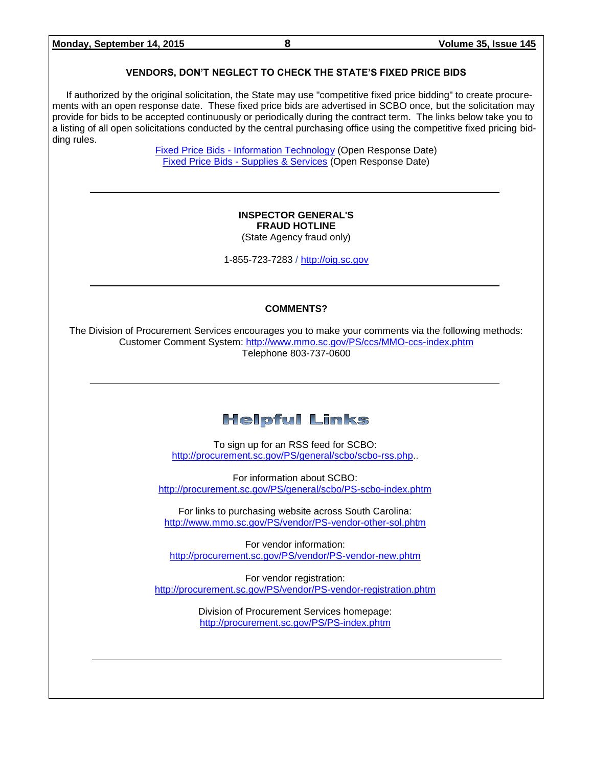### **VENDORS, DON'T NEGLECT TO CHECK THE STATE'S FIXED PRICE BIDS**

If authorized by the original solicitation, the State may use "competitive fixed price bidding" to create procurements with an open response date. These fixed price bids are advertised in SCBO once, but the solicitation may provide for bids to be accepted continuously or periodically during the contract term. The links below take you to a listing of all open solicitations conducted by the central purchasing office using the competitive fixed pricing bidding rules.

> Fixed Price Bids - [Information Technology](http://www.mmo.sc.gov/PS/vendor/PS-vendor-fixed-price-bids-it.phtm) (Open Response Date) Fixed Price Bids - [Supplies & Services](http://www.mmo.sc.gov/PS/vendor/PS-vendor-fixed-price-bids-ss.phtm) (Open Response Date)

### **INSPECTOR GENERAL'S FRAUD HOTLINE**

(State Agency fraud only)

1-855-723-7283 / [http://oig.sc.gov](http://oig.sc.gov/)

### **COMMENTS?**

The Division of Procurement Services encourages you to make your comments via the following methods: Customer Comment System:<http://www.mmo.sc.gov/PS/ccs/MMO-ccs-index.phtm> Telephone 803-737-0600

# **Helpful Links**

To sign up for an RSS feed for SCBO: [http://procurement.sc.gov/PS/general/scbo/scbo-rss.php.](http://procurement.sc.gov/PS/general/scbo/scbo-rss.php).

For information about SCBO: <http://procurement.sc.gov/PS/general/scbo/PS-scbo-index.phtm>

For links to purchasing website across South Carolina: <http://www.mmo.sc.gov/PS/vendor/PS-vendor-other-sol.phtm>

For vendor information: <http://procurement.sc.gov/PS/vendor/PS-vendor-new.phtm>

For vendor registration: <http://procurement.sc.gov/PS/vendor/PS-vendor-registration.phtm>

> Division of Procurement Services homepage: <http://procurement.sc.gov/PS/PS-index.phtm>